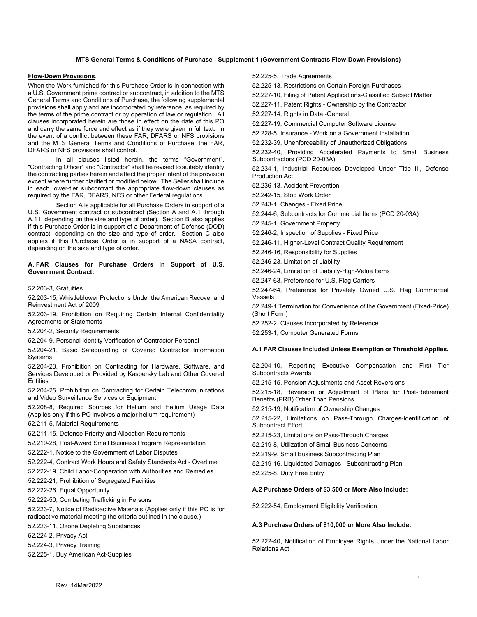# **MTS General Terms & Conditions of Purchase - Supplement 1 (Government Contracts Flow-Down Provisions)**

# **Flow-Down Provisions**.

When the Work furnished for this Purchase Order is in connection with a U.S. Government prime contract or subcontract, in addition to the MTS General Terms and Conditions of Purchase, the following supplemental provisions shall apply and are incorporated by reference, as required by the terms of the prime contract or by operation of law or regulation. All clauses incorporated herein are those in effect on the date of this PO and carry the same force and effect as if they were given in full text. In the event of a conflict between these FAR, DFARS or NFS provisions and the MTS General Terms and Conditions of Purchase, the FAR, DFARS or NFS provisions shall control.

In all clauses listed herein, the terms "Government", "Contracting Officer" and "Contractor" shall be revised to suitably identify the contracting parties herein and affect the proper intent of the provision except where further clarified or modified below. The Seller shall include in each lower-tier subcontract the appropriate flow-down clauses as required by the FAR, DFARS, NFS or other Federal regulations.

Section A is applicable for all Purchase Orders in support of a U.S. Government contract or subcontract (Section A and A.1 through A.11, depending on the size and type of order). Section B also applies if this Purchase Order is in support of a Department of Defense (DOD) contract, depending on the size and type of order. Section C also applies if this Purchase Order is in support of a NASA contract, depending on the size and type of order.

### **A. FAR Clauses for Purchase Orders in Support of U.S. Government Contract:**

52.203-3, Gratuities

52.203-15, Whistleblower Protections Under the American Recover and Reinvestment Act of 2009

52.203-19, Prohibition on Requiring Certain Internal Confidentiality Agreements or Statements

52.204-2, Security Requirements

52.204-9, Personal Identity Verification of Contractor Personal

52.204-21, Basic Safeguarding of Covered Contractor Information Systems

52.204-23, Prohibition on Contracting for Hardware, Software, and Services Developed or Provided by Kaspersky Lab and Other Covered **Entities** 

52.204-25, Prohibition on Contracting for Certain Telecommunications and Video Surveillance Services or Equipment

52.208-8, Required Sources for Helium and Helium Usage Data (Applies only if this PO involves a major helium requirement)

52.211-5, Material Requirements

52.211-15, Defense Priority and Allocation Requirements

52.219-28, Post-Award Small Business Program Representation

52.222-1, Notice to the Government of Labor Disputes

52.222-4, Contract Work Hours and Safety Standards Act - Overtime

52.222-19, Child Labor-Cooperation with Authorities and Remedies

52.222-21, Prohibition of Segregated Facilities

52.222-26, Equal Opportunity

52.222-50, Combating Trafficking in Persons

52.223-7, Notice of Radioactive Materials (Applies only if this PO is for

radioactive material meeting the criteria outlined in the clause.)

52.223-11, Ozone Depleting Substances

52.224-2, Privacy Act

52.224-3, Privacy Training

52.225-1, Buy American Act-Supplies

52.225-5, Trade Agreements

52.225-13, Restrictions on Certain Foreign Purchases

52.227-10, Filing of Patent Applications-Classified Subject Matter

52.227-11, Patent Rights - Ownership by the Contractor

52.227-14, Rights in Data -General

52.227-19, Commercial Computer Software License

52.228-5, Insurance - Work on a Government Installation

52.232-39, Unenforceability of Unauthorized Obligations

52.232-40, Providing Accelerated Payments to Small Business Subcontractors (PCD 20-03A)

52.234-1, Industrial Resources Developed Under Title III, Defense Production Act

52.236-13, Accident Prevention

52.242-15, Stop Work Order

52.243-1, Changes - Fixed Price

52.244-6, Subcontracts for Commercial Items (PCD 20-03A)

52.245-1, Government Property

52.246-2, Inspection of Supplies - Fixed Price

52.246-11, Higher-Level Contract Quality Requirement

52.246-16, Responsibility for Supplies

52.246-23, Limitation of Liability

52.246-24, Limitation of Liability-High-Value Items

52.247-63, Preference for U.S. Flag Carriers

52.247-64, Preference for Privately Owned U.S. Flag Commercial Vessels

52.249-1 Termination for Convenience of the Government (Fixed-Price) (Short Form)

52.252-2, Clauses Incorporated by Reference

52.253-1, Computer Generated Forms

## **A.1 FAR Clauses Included Unless Exemption or Threshold Applies.**

52.204-10, Reporting Executive Compensation and First Tier Subcontracts Awards

52.215-15, Pension Adjustments and Asset Reversions

52.215-18, Reversion or Adjustment of Plans for Post-Retirement Benefits (PRB) Other Than Pensions

52.215-19, Notification of Ownership Changes

52.215-22, Limitations on Pass-Through Charges-Identification of Subcontract Effort

52.215-23, Limitations on Pass-Through Charges

52.219-8, Utilization of Small Business Concerns

52.219-9, Small Business Subcontracting Plan

52.219-16, Liquidated Damages - Subcontracting Plan

52.225-8, Duty Free Entry

### **A.2 Purchase Orders of \$3,500 or More Also Include:**

52.222-54, Employment Eligibility Verification

#### **A.3 Purchase Orders of \$10,000 or More Also Include:**

52.222-40, Notification of Employee Rights Under the National Labor Relations Act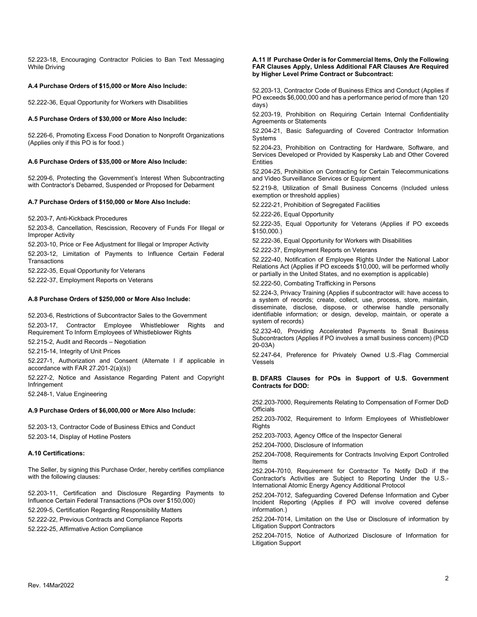52.223-18, Encouraging Contractor Policies to Ban Text Messaging While Driving

# **A.4 Purchase Orders of \$15,000 or More Also Include:**

52.222-36, Equal Opportunity for Workers with Disabilities

# **A.5 Purchase Orders of \$30,000 or More Also Include:**

52.226-6, Promoting Excess Food Donation to Nonprofit Organizations (Applies only if this PO is for food.)

## **A.6 Purchase Orders of \$35,000 or More Also Include:**

52.209-6, Protecting the Government's Interest When Subcontracting with Contractor's Debarred, Suspended or Proposed for Debarment

# **A.7 Purchase Orders of \$150,000 or More Also Include:**

52.203-7, Anti-Kickback Procedures

52.203-8, Cancellation, Rescission, Recovery of Funds For Illegal or Improper Activity

52.203-10, Price or Fee Adjustment for Illegal or Improper Activity

52.203-12, Limitation of Payments to Influence Certain Federal **Transactions** 

52.222-35, Equal Opportunity for Veterans

52.222-37, Employment Reports on Veterans

# **A.8 Purchase Orders of \$250,000 or More Also Include:**

52.203-6, Restrictions of Subcontractor Sales to the Government 52.203-17, Contractor Employee Whistleblower Rights and Requirement To Inform Employees of Whistleblower Rights

52.215-2, Audit and Records – Negotiation

52.215-14, Integrity of Unit Prices

52.227-1, Authorization and Consent (Alternate I if applicable in accordance with FAR 27.201-2(a)(s))

52.227-2, Notice and Assistance Regarding Patent and Copyright Infringement

52.248-1, Value Engineering

# **A.9 Purchase Orders of \$6,000,000 or More Also Include:**

52.203-13, Contractor Code of Business Ethics and Conduct 52.203-14, Display of Hotline Posters

# **A.10 Certifications:**

The Seller, by signing this Purchase Order, hereby certifies compliance with the following clauses:

52.203-11, Certification and Disclosure Regarding Payments to Influence Certain Federal Transactions (POs over \$150,000)

52.209-5, Certification Regarding Responsibility Matters

52.222-22, Previous Contracts and Compliance Reports

52.222-25, Affirmative Action Compliance

#### **A.11 If Purchase Order is for Commercial Items, Only the Following FAR Clauses Apply, Unless Additional FAR Clauses Are Required by Higher Level Prime Contract or Subcontract:**

52.203-13, Contractor Code of Business Ethics and Conduct (Applies if PO exceeds \$6,000,000 and has a performance period of more than 120 days)

52.203-19, Prohibition on Requiring Certain Internal Confidentiality Agreements or Statements

52.204-21, Basic Safeguarding of Covered Contractor Information Systems

52.204-23, Prohibition on Contracting for Hardware, Software, and Services Developed or Provided by Kaspersky Lab and Other Covered **Entities** 

52.204-25, Prohibition on Contracting for Certain Telecommunications and Video Surveillance Services or Equipment

52.219-8, Utilization of Small Business Concerns (Included unless exemption or threshold applies)

52.222-21, Prohibition of Segregated Facilities

52.222-26, Equal Opportunity

52.222-35, Equal Opportunity for Veterans (Applies if PO exceeds \$150,000.)

52.222-36, Equal Opportunity for Workers with Disabilities

52.222-37, Employment Reports on Veterans

52.222-40, Notification of Employee Rights Under the National Labor Relations Act (Applies if PO exceeds \$10,000, will be performed wholly or partially in the United States, and no exemption is applicable)

52.222-50, Combating Trafficking in Persons

52.224-3, Privacy Training (Applies if subcontractor will: have access to a system of records; create, collect, use, process, store, maintain, disseminate, disclose, dispose, or otherwise handle personally identifiable information; or design, develop, maintain, or operate a system of records)

52.232-40, Providing Accelerated Payments to Small Business Subcontractors (Applies if PO involves a small business concern) (PCD 20-03A)

52.247-64, Preference for Privately Owned U.S.-Flag Commercial Vessels

## **B. DFARS Clauses for POs in Support of U.S. Government Contracts for DOD:**

252.203-7000, Requirements Relating to Compensation of Former DoD **Officials** 

252.203-7002, Requirement to Inform Employees of Whistleblower **Rights** 

252.203-7003, Agency Office of the Inspector General

252.204-7000, Disclosure of Information

252.204-7008, Requirements for Contracts Involving Export Controlled Items

252.204-7010, Requirement for Contractor To Notify DoD if the Contractor's Activities are Subject to Reporting Under the U.S.- International Atomic Energy Agency Additional Protocol

252.204-7012, Safeguarding Covered Defense Information and Cyber Incident Reporting (Applies if PO will involve covered defense information.)

252.204-7014, Limitation on the Use or Disclosure of information by Litigation Support Contractors

252.204-7015, Notice of Authorized Disclosure of Information for Litigation Support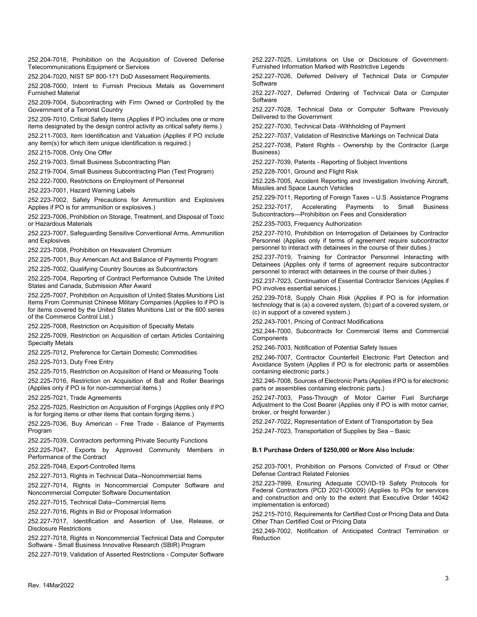252.204-7018, Prohibition on the Acquisition of Covered Defense Telecommunications Equipment or Services

252.204-7020, NIST SP 800-171 DoD Assessment Requirements.

252.208-7000, Intent to Furnish Precious Metals as Government Furnished Material

252.209-7004, Subcontracting with Firm Owned or Controlled by the Government of a Terrorist Country

252.209-7010, Critical Safety Items (Applies if PO includes one or more items designated by the design control activity as critical safety items.)

252.211-7003, Item Identification and Valuation (Applies if PO include any item(s) for which item unique identification is required.)

252.215-7008, Only One Offer

252.219-7003, Small Business Subcontracting Plan

252.219-7004, Small Business Subcontracting Plan (Test Program)

252.222-7000, Restrictions on Employment of Personnel

252.223-7001, Hazard Warning Labels

252.223-7002, Safety Precautions for Ammunition and Explosives Applies if PO is for ammunition or explosives.)

252.223-7006, Prohibition on Storage, Treatment, and Disposal of Toxic or Hazardous Materials

252.223-7007, Safeguarding Sensitive Conventional Arms, Ammunition and Explosives

252.223-7008, Prohibition on Hexavalent Chromium

252.225-7001, Buy American Act and Balance of Payments Program

252.225-7002, Qualifying Country Sources as Subcontractors

252.225-7004, Reporting of Contract Performance Outside The United States and Canada, Submission After Award

252.225-7007, Prohibition on Acquisition of United States Munitions List Items From Communist Chinese Military Companies (Applies to if PO is for items covered by the United States Munitions List or the 600 series of the Commerce Control List.)

252.225-7008, Restriction on Acquisition of Specialty Metals

252.225-7009, Restriction on Acquisition of certain Articles Containing Specialty Metals

252.225-7012, Preference for Certain Domestic Commodities

252.225-7013, Duty Free Entry

252.225-7015, Restriction on Acquisition of Hand or Measuring Tools

252.225-7016, Restriction on Acquisition of Ball and Roller Bearings (Applies only if PO is for non-commercial items.)

252.225-7021, Trade Agreements

252.225-7025, Restriction on Acquisition of Forgings (Applies only if PO is for forging items or other items that contain forging items.)

252.225-7036, Buy American - Free Trade - Balance of Payments Program

252.225-7039, Contractors performing Private Security Functions

252.225-7047, Exports by Approved Community Members in Performance of the Contract

252.225-7048, Export-Controlled Items

252.227-7013, Rights in Technical Data--Noncommercial Items

252.227-7014, Rights in Noncommercial Computer Software and Noncommercial Computer Software Documentation

252.227-7015, Technical Data--Commercial Items

252.227-7016, Rights in Bid or Proposal Information

252.227-7017, Identification and Assertion of Use, Release, or Disclosure Restrictions

252.227-7018, Rights in Noncommercial Technical Data and Computer Software - Small Business Innovative Research (SBIR) Program

252.227-7019, Validation of Asserted Restrictions - Computer Software

252.227-7025, Limitations on Use or Disclosure of Government-Furnished Information Marked with Restrictive Legends

252.227-7026, Deferred Delivery of Technical Data or Computer Software

252.227-7027, Deferred Ordering of Technical Data or Computer **Software** 

252.227-7028, Technical Data or Computer Software Previously Delivered to the Government

252.227-7030, Technical Data -Withholding of Payment

252.227-7037, Validation of Restrictive Markings on Technical Data

252.227-7038, Patent Rights - Ownership by the Contractor (Large Business)

252.227-7039, Patents - Reporting of Subject Inventions

252.228-7001, Ground and Flight Risk

252.228-7005, Accident Reporting and Investigation Involving Aircraft, Missiles and Space Launch Vehicles

252.229-7011, Reporting of Foreign Taxes – U.S. Assistance Programs 252.232-7017, Accelerating Payments to Small Business Subcontractors—Prohibition on Fees and Consideration

252.235-7003, Frequency Authorization

252.237-7010, Prohibition on Interrogation of Detainees by Contractor Personnel (Applies only if terms of agreement require subcontractor personnel to interact with detainees in the course of their duties.)

252.237-7019, Training for Contractor Personnel Interacting with Detainees (Applies only if terms of agreement require subcontractor personnel to interact with detainees in the course of their duties.)

252.237-7023, Continuation of Essential Contractor Services (Applies if PO involves essential services.)

252.239-7018, Supply Chain Risk (Applies if PO is for information technology that is (a) a covered system, (b) part of a covered system, or (c) in support of a covered system.)

252.243-7001, Pricing of Contract Modifications

252.244-7000, Subcontracts for Commercial Items and Commercial Components

252.246-7003, Notification of Potential Safety Issues

252.246-7007, Contractor Counterfeit Electronic Part Detection and Avoidance System (Applies if PO is for electronic parts or assemblies containing electronic parts.)

252.246-7008, Sources of Electronic Parts (Applies if PO is for electronic parts or assemblies containing electronic parts.)

252.247-7003, Pass-Through of Motor Carrier Fuel Surcharge Adjustment to the Cost Bearer (Applies only if PO is with motor carrier, broker, or freight forwarder.)

252.247-7022, Representation of Extent of Transportation by Sea

252.247-7023, Transportation of Supplies by Sea – Basic

# **B.1 Purchase Orders of \$250,000 or More Also Include:**

252.203-7001, Prohibition on Persons Convicted of Fraud or Other Defense Contract Related Felonies

252.223-7999, Ensuring Adequate COVID-19 Safety Protocols for Federal Contractors (PCD 2021-O0009) (Applies to POs for services and construction and only to the extent that Executive Order 14042 implementation is enforced)

252.215-7010, Requirements for Certified Cost or Pricing Data and Data Other Than Certified Cost or Pricing Data

252.249-7002, Notification of Anticipated Contract Termination or Reduction